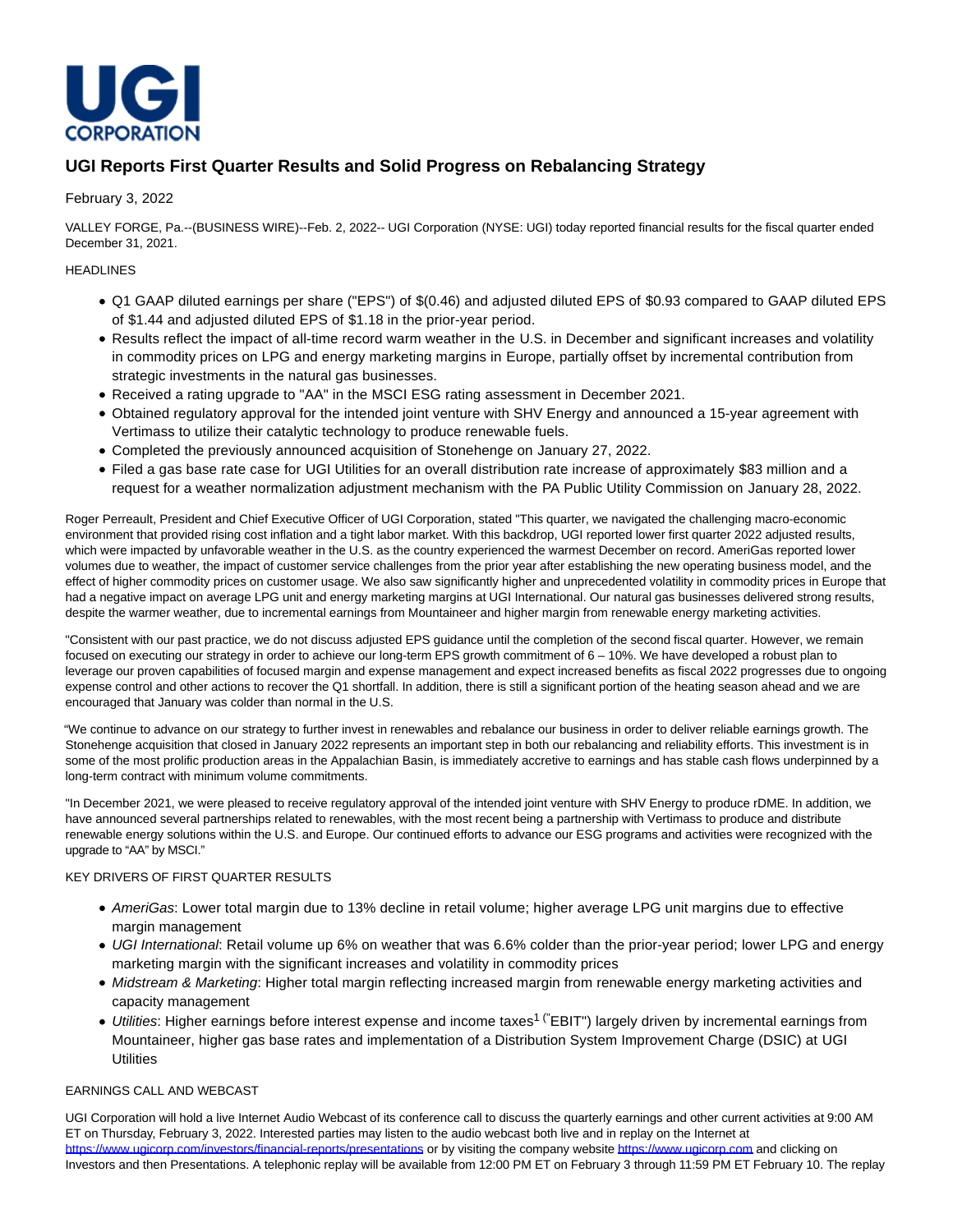

# **UGI Reports First Quarter Results and Solid Progress on Rebalancing Strategy**

# February 3, 2022

VALLEY FORGE, Pa.--(BUSINESS WIRE)--Feb. 2, 2022-- UGI Corporation (NYSE: UGI) today reported financial results for the fiscal quarter ended December 31, 2021.

# HEADLINES

- Q1 GAAP diluted earnings per share ("EPS") of \$(0.46) and adjusted diluted EPS of \$0.93 compared to GAAP diluted EPS of \$1.44 and adjusted diluted EPS of \$1.18 in the prior-year period.
- Results reflect the impact of all-time record warm weather in the U.S. in December and significant increases and volatility in commodity prices on LPG and energy marketing margins in Europe, partially offset by incremental contribution from strategic investments in the natural gas businesses.
- Received a rating upgrade to "AA" in the MSCI ESG rating assessment in December 2021.
- Obtained regulatory approval for the intended joint venture with SHV Energy and announced a 15-year agreement with Vertimass to utilize their catalytic technology to produce renewable fuels.
- Completed the previously announced acquisition of Stonehenge on January 27, 2022.
- Filed a gas base rate case for UGI Utilities for an overall distribution rate increase of approximately \$83 million and a request for a weather normalization adjustment mechanism with the PA Public Utility Commission on January 28, 2022.

Roger Perreault, President and Chief Executive Officer of UGI Corporation, stated "This quarter, we navigated the challenging macro-economic environment that provided rising cost inflation and a tight labor market. With this backdrop, UGI reported lower first quarter 2022 adjusted results, which were impacted by unfavorable weather in the U.S. as the country experienced the warmest December on record. AmeriGas reported lower volumes due to weather, the impact of customer service challenges from the prior year after establishing the new operating business model, and the effect of higher commodity prices on customer usage. We also saw significantly higher and unprecedented volatility in commodity prices in Europe that had a negative impact on average LPG unit and energy marketing margins at UGI International. Our natural gas businesses delivered strong results, despite the warmer weather, due to incremental earnings from Mountaineer and higher margin from renewable energy marketing activities.

"Consistent with our past practice, we do not discuss adjusted EPS guidance until the completion of the second fiscal quarter. However, we remain focused on executing our strategy in order to achieve our long-term EPS growth commitment of 6 – 10%. We have developed a robust plan to leverage our proven capabilities of focused margin and expense management and expect increased benefits as fiscal 2022 progresses due to ongoing expense control and other actions to recover the Q1 shortfall. In addition, there is still a significant portion of the heating season ahead and we are encouraged that January was colder than normal in the U.S.

"We continue to advance on our strategy to further invest in renewables and rebalance our business in order to deliver reliable earnings growth. The Stonehenge acquisition that closed in January 2022 represents an important step in both our rebalancing and reliability efforts. This investment is in some of the most prolific production areas in the Appalachian Basin, is immediately accretive to earnings and has stable cash flows underpinned by a long-term contract with minimum volume commitments.

"In December 2021, we were pleased to receive regulatory approval of the intended joint venture with SHV Energy to produce rDME. In addition, we have announced several partnerships related to renewables, with the most recent being a partnership with Vertimass to produce and distribute renewable energy solutions within the U.S. and Europe. Our continued efforts to advance our ESG programs and activities were recognized with the upgrade to "AA" by MSCI."

## KEY DRIVERS OF FIRST QUARTER RESULTS

- AmeriGas: Lower total margin due to 13% decline in retail volume; higher average LPG unit margins due to effective margin management
- UGI International: Retail volume up 6% on weather that was 6.6% colder than the prior-year period; lower LPG and energy marketing margin with the significant increases and volatility in commodity prices
- Midstream & Marketing: Higher total margin reflecting increased margin from renewable energy marketing activities and capacity management
- *Utilities*: Higher earnings before interest expense and income taxes<sup>1 ("</sup>EBIT") largely driven by incremental earnings from Mountaineer, higher gas base rates and implementation of a Distribution System Improvement Charge (DSIC) at UGI **Utilities**

## EARNINGS CALL AND WEBCAST

UGI Corporation will hold a live Internet Audio Webcast of its conference call to discuss the quarterly earnings and other current activities at 9:00 AM ET on Thursday, February 3, 2022. Interested parties may listen to the audio webcast both live and in replay on the Internet at [https://www.ugicorp.com/investors/financial-reports/presentations o](https://cts.businesswire.com/ct/CT?id=smartlink&url=https%3A%2F%2Fwww.ugicorp.com%2Finvestors%2Ffinancial-reports%2Fpresentations&esheet=52573544&newsitemid=20220202006027&lan=en-US&anchor=https%3A%2F%2Fwww.ugicorp.com%2Finvestors%2Ffinancial-reports%2Fpresentations&index=1&md5=13f577effdb3fb96d5e849ec16b4b0b5)r by visiting the company websit[e https://www.ugicorp.com a](https://cts.businesswire.com/ct/CT?id=smartlink&url=https%3A%2F%2Fwww.ugicorp.com&esheet=52573544&newsitemid=20220202006027&lan=en-US&anchor=https%3A%2F%2Fwww.ugicorp.com&index=2&md5=c34c11a06cc5f43b8d0fc4690a89f396)nd clicking on Investors and then Presentations. A telephonic replay will be available from 12:00 PM ET on February 3 through 11:59 PM ET February 10. The replay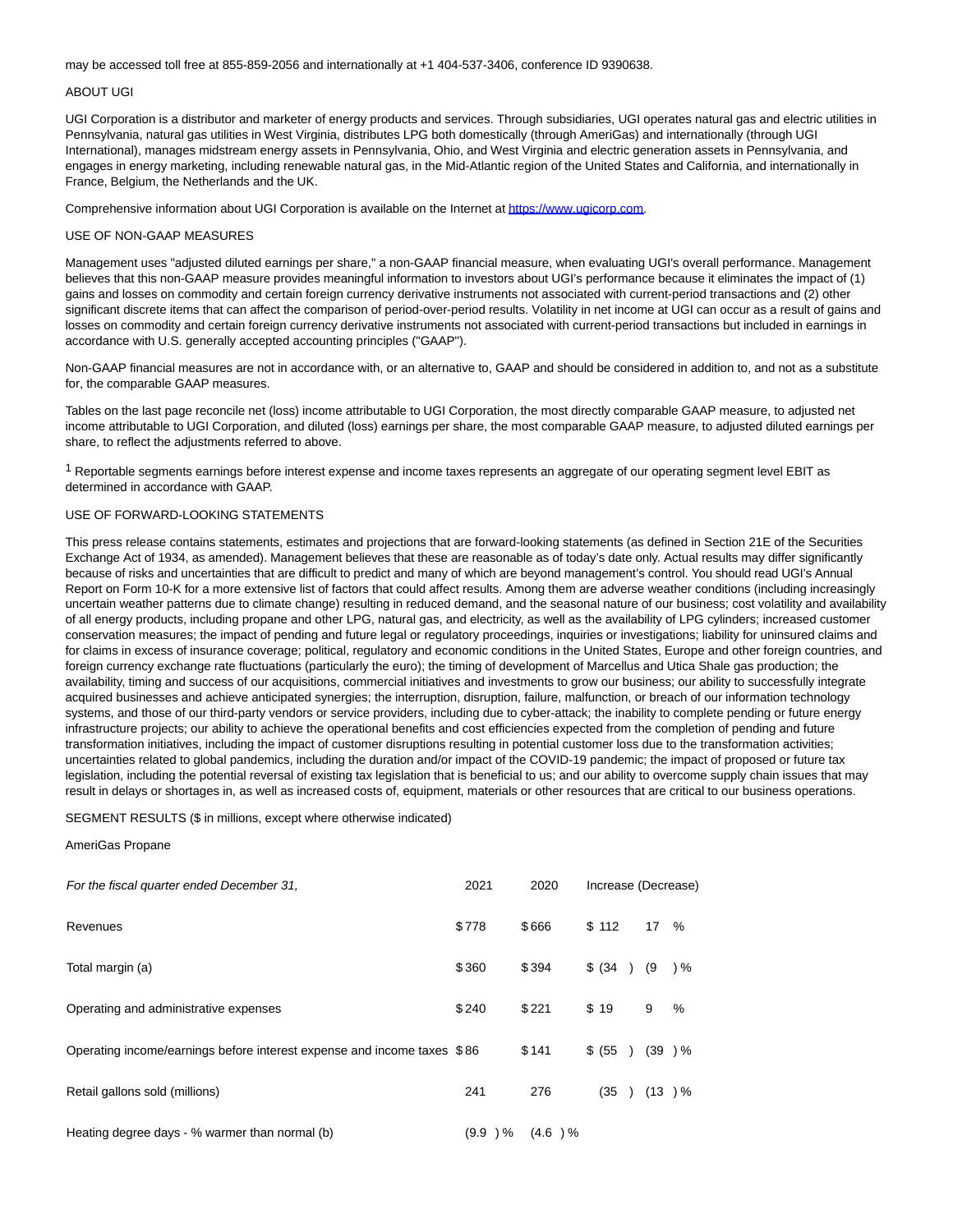may be accessed toll free at 855-859-2056 and internationally at +1 404-537-3406, conference ID 9390638.

## ABOUT UGI

UGI Corporation is a distributor and marketer of energy products and services. Through subsidiaries, UGI operates natural gas and electric utilities in Pennsylvania, natural gas utilities in West Virginia, distributes LPG both domestically (through AmeriGas) and internationally (through UGI International), manages midstream energy assets in Pennsylvania, Ohio, and West Virginia and electric generation assets in Pennsylvania, and engages in energy marketing, including renewable natural gas, in the Mid-Atlantic region of the United States and California, and internationally in France, Belgium, the Netherlands and the UK.

Comprehensive information about UGI Corporation is available on the Internet at [https://www.ugicorp.com.](https://cts.businesswire.com/ct/CT?id=smartlink&url=https%3A%2F%2Fwww.ugicorp.com&esheet=52573544&newsitemid=20220202006027&lan=en-US&anchor=https%3A%2F%2Fwww.ugicorp.com&index=3&md5=92f05e98cafbb833a76c75632b9488b1)

#### USE OF NON-GAAP MEASURES

Management uses "adjusted diluted earnings per share," a non-GAAP financial measure, when evaluating UGI's overall performance. Management believes that this non-GAAP measure provides meaningful information to investors about UGI's performance because it eliminates the impact of (1) gains and losses on commodity and certain foreign currency derivative instruments not associated with current-period transactions and (2) other significant discrete items that can affect the comparison of period-over-period results. Volatility in net income at UGI can occur as a result of gains and losses on commodity and certain foreign currency derivative instruments not associated with current-period transactions but included in earnings in accordance with U.S. generally accepted accounting principles ("GAAP").

Non-GAAP financial measures are not in accordance with, or an alternative to, GAAP and should be considered in addition to, and not as a substitute for, the comparable GAAP measures.

Tables on the last page reconcile net (loss) income attributable to UGI Corporation, the most directly comparable GAAP measure, to adjusted net income attributable to UGI Corporation, and diluted (loss) earnings per share, the most comparable GAAP measure, to adjusted diluted earnings per share, to reflect the adjustments referred to above.

 $1$  Reportable segments earnings before interest expense and income taxes represents an aggregate of our operating segment level EBIT as determined in accordance with GAAP.

## USE OF FORWARD-LOOKING STATEMENTS

This press release contains statements, estimates and projections that are forward-looking statements (as defined in Section 21E of the Securities Exchange Act of 1934, as amended). Management believes that these are reasonable as of today's date only. Actual results may differ significantly because of risks and uncertainties that are difficult to predict and many of which are beyond management's control. You should read UGI's Annual Report on Form 10-K for a more extensive list of factors that could affect results. Among them are adverse weather conditions (including increasingly uncertain weather patterns due to climate change) resulting in reduced demand, and the seasonal nature of our business; cost volatility and availability of all energy products, including propane and other LPG, natural gas, and electricity, as well as the availability of LPG cylinders; increased customer conservation measures; the impact of pending and future legal or regulatory proceedings, inquiries or investigations; liability for uninsured claims and for claims in excess of insurance coverage; political, regulatory and economic conditions in the United States, Europe and other foreign countries, and foreign currency exchange rate fluctuations (particularly the euro); the timing of development of Marcellus and Utica Shale gas production; the availability, timing and success of our acquisitions, commercial initiatives and investments to grow our business; our ability to successfully integrate acquired businesses and achieve anticipated synergies; the interruption, disruption, failure, malfunction, or breach of our information technology systems, and those of our third-party vendors or service providers, including due to cyber-attack; the inability to complete pending or future energy infrastructure projects; our ability to achieve the operational benefits and cost efficiencies expected from the completion of pending and future transformation initiatives, including the impact of customer disruptions resulting in potential customer loss due to the transformation activities; uncertainties related to global pandemics, including the duration and/or impact of the COVID-19 pandemic; the impact of proposed or future tax legislation, including the potential reversal of existing tax legislation that is beneficial to us; and our ability to overcome supply chain issues that may result in delays or shortages in, as well as increased costs of, equipment, materials or other resources that are critical to our business operations.

#### SEGMENT RESULTS (\$ in millions, except where otherwise indicated)

#### AmeriGas Propane

| For the fiscal quarter ended December 31,                               | 2021  | 2020                | Increase (Decrease) |        |     |
|-------------------------------------------------------------------------|-------|---------------------|---------------------|--------|-----|
| Revenues                                                                | \$778 | \$666               | \$112               | 17 %   |     |
| Total margin (a)                                                        | \$360 | \$394               | \$ (34)             | (9     | ) % |
| Operating and administrative expenses                                   | \$240 | \$221               | \$19                | 9      | %   |
| Operating income/earnings before interest expense and income taxes \$86 |       | \$141               | \$ (55)             | (39) % |     |
| Retail gallons sold (millions)                                          | 241   | 276                 | (35)                | (13) % |     |
| Heating degree days - % warmer than normal (b)                          |       | $(9.9)$ % $(4.6)$ % |                     |        |     |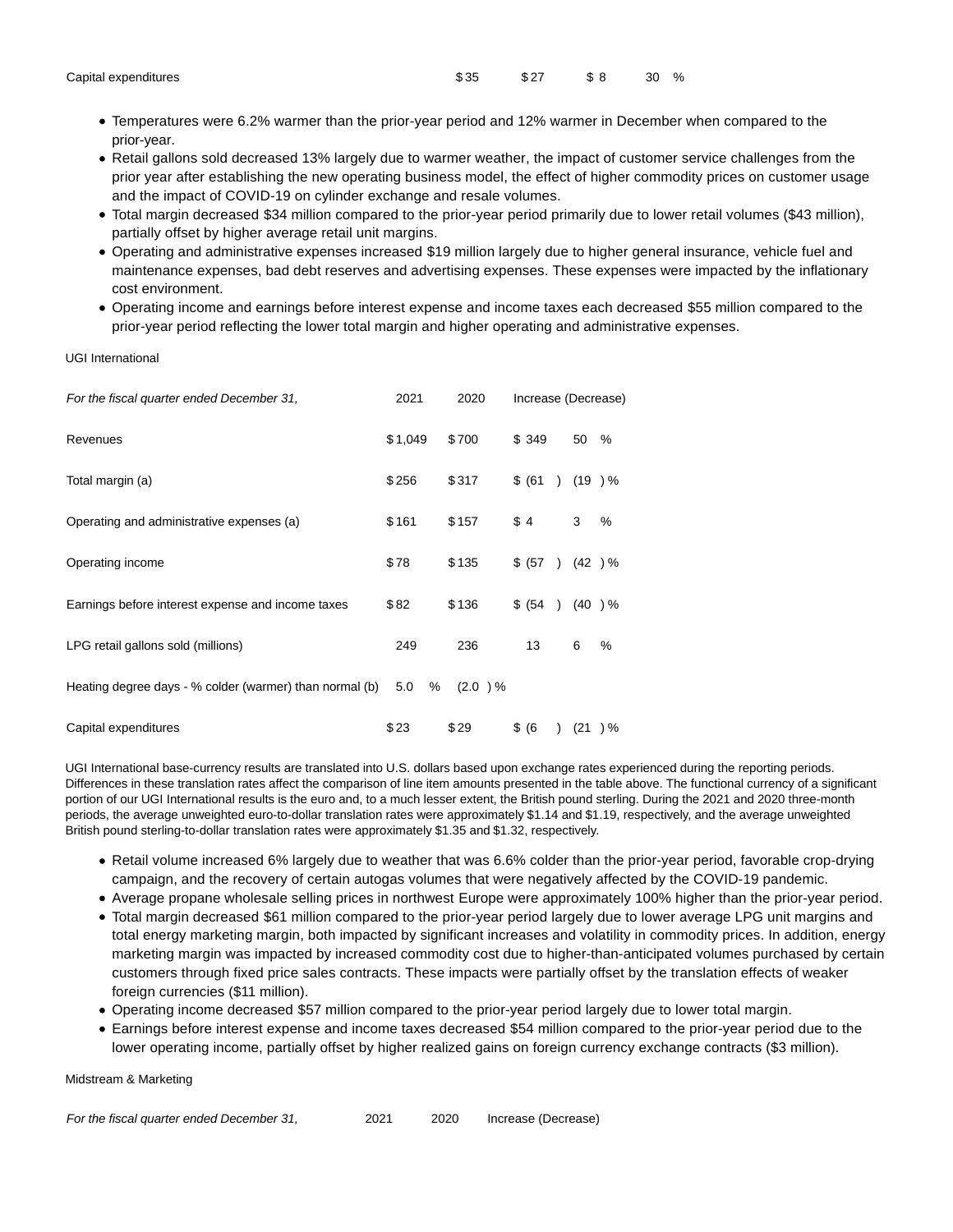| Capital expenditures |
|----------------------|
|                      |

- Capital expenditures \$ 35 \$ 27 \$ 8 30 %
	- Temperatures were 6.2% warmer than the prior-year period and 12% warmer in December when compared to the prior-year.
	- Retail gallons sold decreased 13% largely due to warmer weather, the impact of customer service challenges from the prior year after establishing the new operating business model, the effect of higher commodity prices on customer usage and the impact of COVID-19 on cylinder exchange and resale volumes.
	- Total margin decreased \$34 million compared to the prior-year period primarily due to lower retail volumes (\$43 million), partially offset by higher average retail unit margins.
	- Operating and administrative expenses increased \$19 million largely due to higher general insurance, vehicle fuel and maintenance expenses, bad debt reserves and advertising expenses. These expenses were impacted by the inflationary cost environment.
	- Operating income and earnings before interest expense and income taxes each decreased \$55 million compared to the prior-year period reflecting the lower total margin and higher operating and administrative expenses.

UGI International

| For the fiscal quarter ended December 31,               | 2021     | 2020    |                          | Increase (Decrease) |
|---------------------------------------------------------|----------|---------|--------------------------|---------------------|
| Revenues                                                | \$1,049  | \$700   | \$ 349                   | 50<br>%             |
| Total margin (a)                                        | \$256    | \$317   | \$ (61)<br>$\lambda$     | (19) %              |
| Operating and administrative expenses (a)               | \$161    | \$157   | \$4                      | 3<br>%              |
| Operating income                                        | \$78     | \$135   | \$ (57)<br>$\rightarrow$ | (42) %              |
| Earnings before interest expense and income taxes       | \$82     | \$136   | \$ (54)<br>$\rightarrow$ | (40) %              |
| LPG retail gallons sold (millions)                      | 249      | 236     | 13                       | 6<br>%              |
| Heating degree days - % colder (warmer) than normal (b) | 5.0<br>% | (2.0) % |                          |                     |
| Capital expenditures                                    | \$23     | \$29    | \$ (6)                   | (21)<br>) %         |

UGI International base-currency results are translated into U.S. dollars based upon exchange rates experienced during the reporting periods. Differences in these translation rates affect the comparison of line item amounts presented in the table above. The functional currency of a significant portion of our UGI International results is the euro and, to a much lesser extent, the British pound sterling. During the 2021 and 2020 three-month periods, the average unweighted euro-to-dollar translation rates were approximately \$1.14 and \$1.19, respectively, and the average unweighted British pound sterling-to-dollar translation rates were approximately \$1.35 and \$1.32, respectively.

- Retail volume increased 6% largely due to weather that was 6.6% colder than the prior-year period, favorable crop-drying campaign, and the recovery of certain autogas volumes that were negatively affected by the COVID-19 pandemic.
- Average propane wholesale selling prices in northwest Europe were approximately 100% higher than the prior-year period.
- Total margin decreased \$61 million compared to the prior-year period largely due to lower average LPG unit margins and total energy marketing margin, both impacted by significant increases and volatility in commodity prices. In addition, energy marketing margin was impacted by increased commodity cost due to higher-than-anticipated volumes purchased by certain customers through fixed price sales contracts. These impacts were partially offset by the translation effects of weaker foreign currencies (\$11 million).
- Operating income decreased \$57 million compared to the prior-year period largely due to lower total margin.
- Earnings before interest expense and income taxes decreased \$54 million compared to the prior-year period due to the lower operating income, partially offset by higher realized gains on foreign currency exchange contracts (\$3 million).

Midstream & Marketing

| For the fiscal quarter ended December 31, | 2021 | 2020 | Increase (Decrease) |
|-------------------------------------------|------|------|---------------------|
|-------------------------------------------|------|------|---------------------|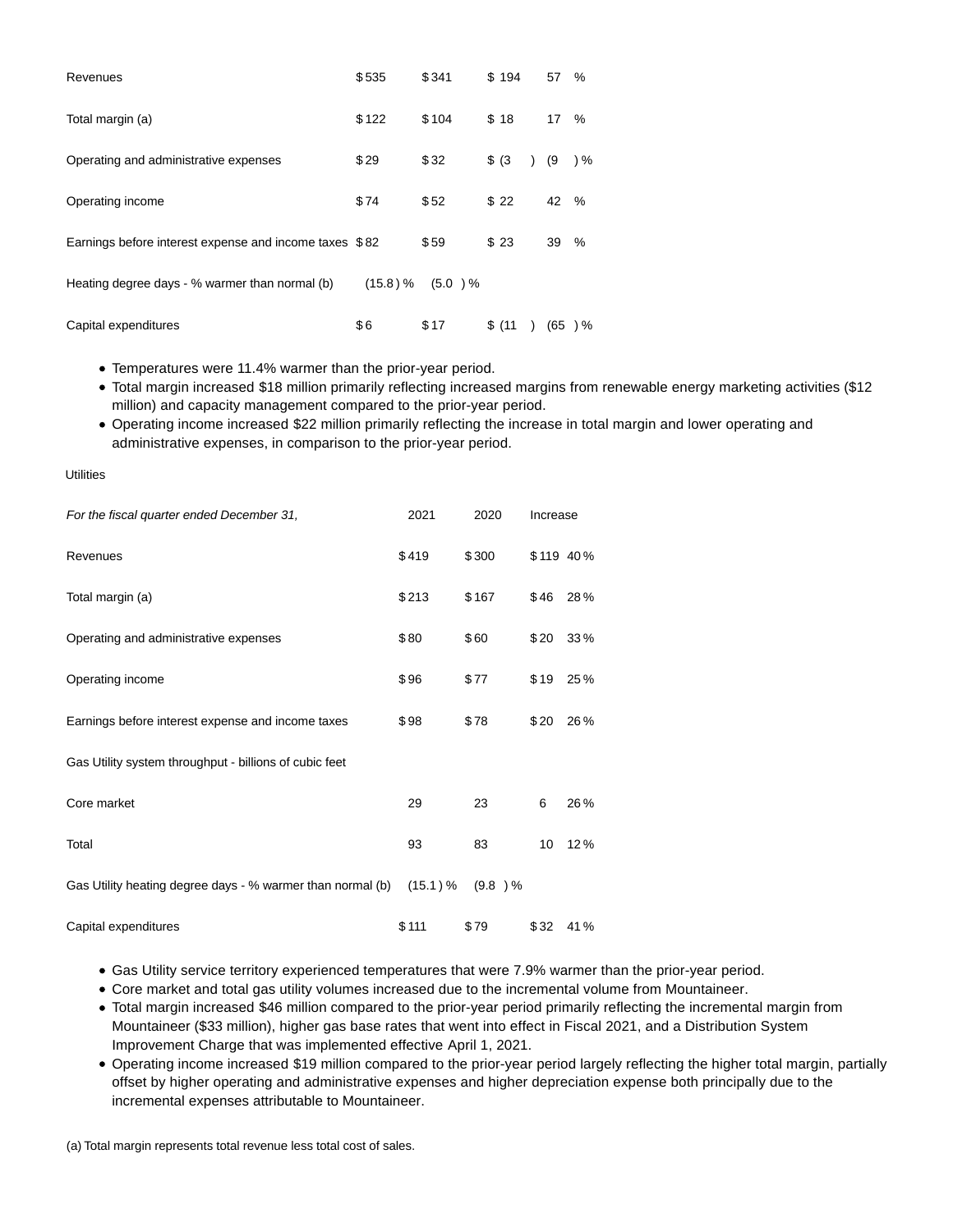| Revenues                                               | \$535    | \$341   | \$194  | 57  | %             |
|--------------------------------------------------------|----------|---------|--------|-----|---------------|
| Total margin (a)                                       | \$122    | \$104   | \$18   | 17  | %             |
| Operating and administrative expenses                  | \$29     | \$32    | \$ (3) | (9  | $\frac{9}{6}$ |
| Operating income                                       | \$74     | \$52    | \$22   | 42  | %             |
| Earnings before interest expense and income taxes \$82 |          | \$59    | \$23   | 39  | %             |
| Heating degree days - % warmer than normal (b)         | (15.8) % | (5.0) % |        |     |               |
| Capital expenditures                                   | \$6      | \$17    | \$(11) | (65 | $\frac{9}{6}$ |

Temperatures were 11.4% warmer than the prior-year period.

Total margin increased \$18 million primarily reflecting increased margins from renewable energy marketing activities (\$12 million) and capacity management compared to the prior-year period.

Operating income increased \$22 million primarily reflecting the increase in total margin and lower operating and administrative expenses, in comparison to the prior-year period.

**Utilities** 

| For the fiscal quarter ended December 31,                  | 2021     | 2020      | Increase |           |
|------------------------------------------------------------|----------|-----------|----------|-----------|
| Revenues                                                   | \$419    | \$300     |          | \$119 40% |
| Total margin (a)                                           | \$213    | \$167     | \$46     | 28%       |
| Operating and administrative expenses                      | \$80     | \$60      | \$20     | 33%       |
| Operating income                                           | \$96     | \$77      | \$19     | 25%       |
| Earnings before interest expense and income taxes          | \$98     | \$78      | \$20     | 26%       |
| Gas Utility system throughput - billions of cubic feet     |          |           |          |           |
| Core market                                                | 29       | 23        | 6        | 26%       |
| Total                                                      | 93       | 83        | 10       | 12%       |
| Gas Utility heating degree days - % warmer than normal (b) | (15.1) % | $(9.8)$ % |          |           |
| Capital expenditures                                       | \$111    | \$79      | \$32     | 41%       |

Gas Utility service territory experienced temperatures that were 7.9% warmer than the prior-year period.

- Core market and total gas utility volumes increased due to the incremental volume from Mountaineer.
- Total margin increased \$46 million compared to the prior-year period primarily reflecting the incremental margin from Mountaineer (\$33 million), higher gas base rates that went into effect in Fiscal 2021, and a Distribution System Improvement Charge that was implemented effective April 1, 2021.
- Operating income increased \$19 million compared to the prior-year period largely reflecting the higher total margin, partially offset by higher operating and administrative expenses and higher depreciation expense both principally due to the incremental expenses attributable to Mountaineer.

(a) Total margin represents total revenue less total cost of sales.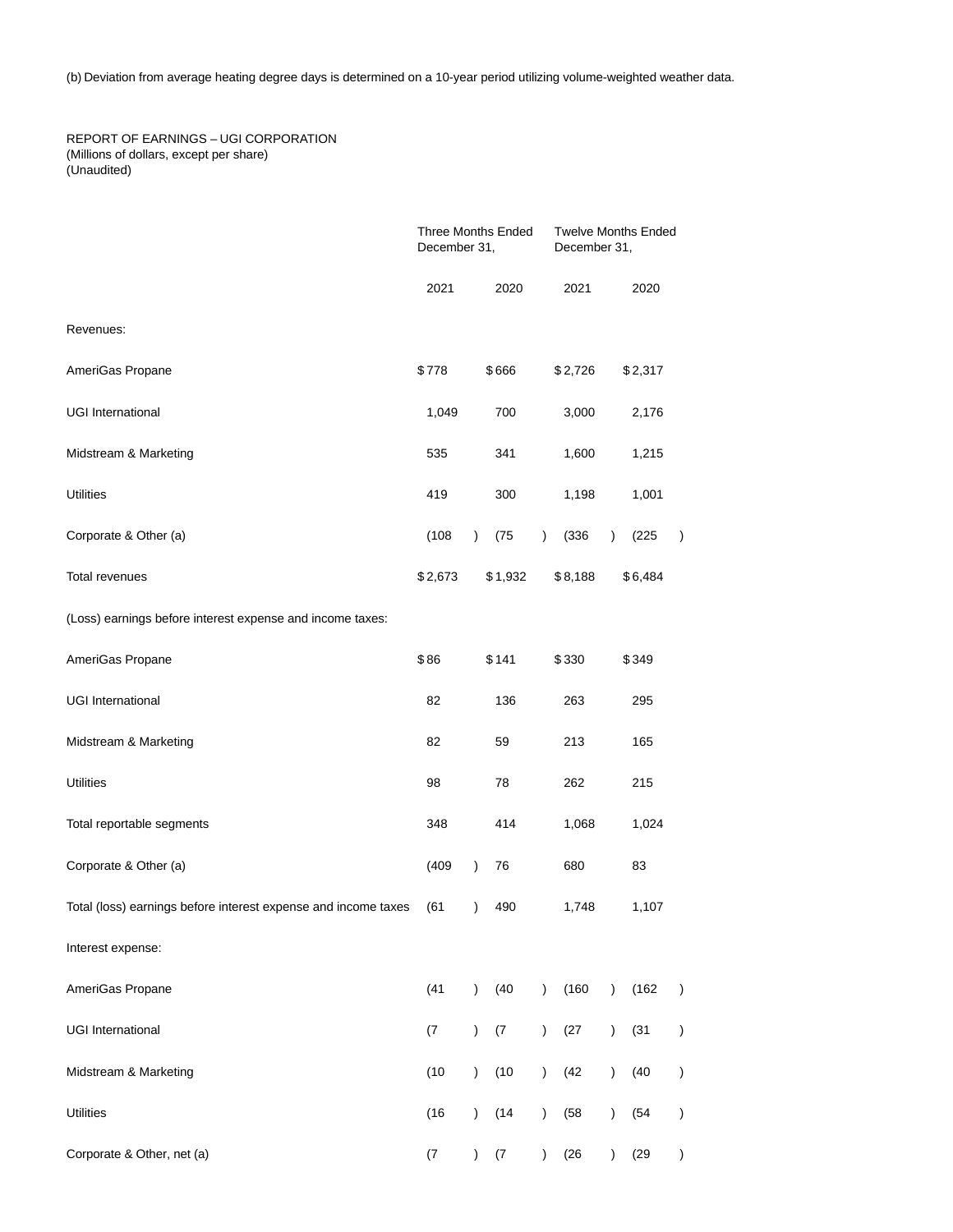(b) Deviation from average heating degree days is determined on a 10-year period utilizing volume-weighted weather data.

REPORT OF EARNINGS – UGI CORPORATION (Millions of dollars, except per share) (Unaudited)

|                                                                |         | <b>Three Months Ended</b><br>December 31, |         | <b>Twelve Months Ended</b><br>December 31, |         |               |         |               |
|----------------------------------------------------------------|---------|-------------------------------------------|---------|--------------------------------------------|---------|---------------|---------|---------------|
|                                                                | 2021    |                                           | 2020    |                                            | 2021    |               | 2020    |               |
| Revenues:                                                      |         |                                           |         |                                            |         |               |         |               |
| AmeriGas Propane                                               | \$778   |                                           | \$666   |                                            | \$2,726 |               | \$2,317 |               |
| <b>UGI International</b>                                       | 1,049   |                                           | 700     |                                            | 3,000   |               | 2,176   |               |
| Midstream & Marketing                                          | 535     |                                           | 341     |                                            | 1,600   |               | 1,215   |               |
| <b>Utilities</b>                                               | 419     |                                           | 300     |                                            | 1,198   |               | 1,001   |               |
| Corporate & Other (a)                                          | (108)   | $\lambda$                                 | (75)    | $\mathcal{L}$                              | (336)   | $\mathcal{L}$ | (225)   | $\lambda$     |
| Total revenues                                                 | \$2,673 |                                           | \$1,932 |                                            | \$8,188 |               | \$6,484 |               |
| (Loss) earnings before interest expense and income taxes:      |         |                                           |         |                                            |         |               |         |               |
| AmeriGas Propane                                               | \$86    |                                           | \$141   |                                            | \$330   |               | \$349   |               |
| <b>UGI International</b>                                       | 82      |                                           | 136     |                                            | 263     |               | 295     |               |
| Midstream & Marketing                                          | 82      |                                           | 59      |                                            | 213     |               | 165     |               |
| <b>Utilities</b>                                               | 98      |                                           | 78      |                                            | 262     |               | 215     |               |
| Total reportable segments                                      | 348     |                                           | 414     |                                            | 1,068   |               | 1,024   |               |
| Corporate & Other (a)                                          | (409)   | $\lambda$                                 | 76      |                                            | 680     |               | 83      |               |
| Total (loss) earnings before interest expense and income taxes | (61)    | $\mathcal{E}$                             | 490     |                                            | 1,748   |               | 1,107   |               |
| Interest expense:                                              |         |                                           |         |                                            |         |               |         |               |
| AmeriGas Propane                                               | (41)    | $\mathcal{E}$                             | (40)    | $\lambda$                                  | (160)   | $\mathcal{L}$ | (162)   | $\mathcal{E}$ |
| <b>UGI International</b>                                       | (7)     | $\lambda$                                 | (7)     | $\mathcal{L}$                              | (27)    | $\mathcal{E}$ | (31)    | $\mathcal{E}$ |
| Midstream & Marketing                                          | (10)    | $\mathcal{E}$                             | (10)    | $\mathcal{L}$                              | (42     | $\mathcal{L}$ | (40)    | )             |
| <b>Utilities</b>                                               | (16)    | $\mathcal{E}$                             | (14)    | $\lambda$                                  | (58)    | $\mathcal{L}$ | (54)    | )             |
| Corporate & Other, net (a)                                     | (7)     | $\lambda$                                 | (7)     | $\lambda$                                  | (26)    | $\mathcal{E}$ | (29)    | )             |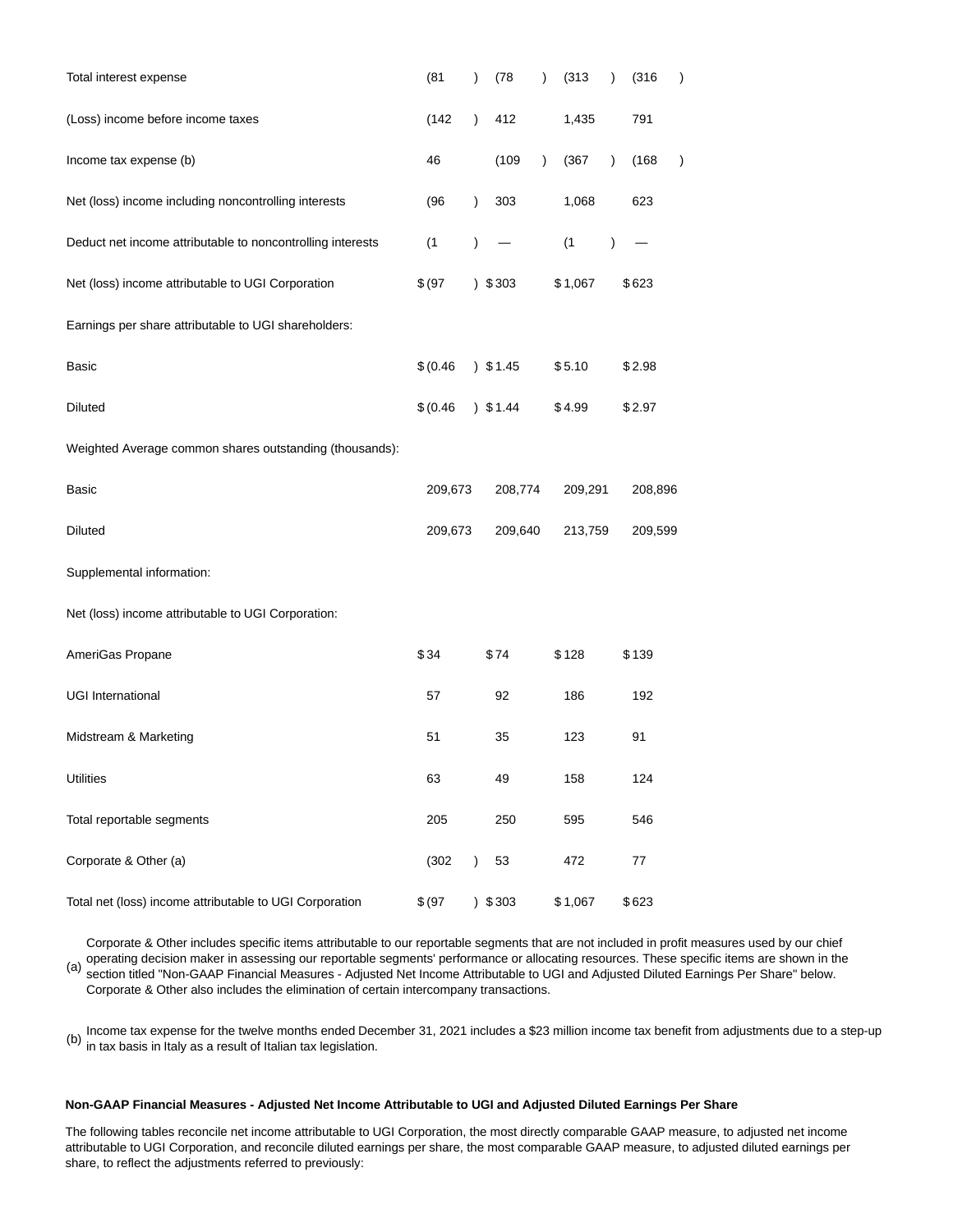| Total interest expense                                     | (81)      | $\lambda$     | (78)       | $\lambda$ | (313)   | $\mathcal{E}$ | (316)   | $\mathcal{E}$ |
|------------------------------------------------------------|-----------|---------------|------------|-----------|---------|---------------|---------|---------------|
| (Loss) income before income taxes                          | (142)     | $\lambda$     | 412        |           | 1,435   |               | 791     |               |
| Income tax expense (b)                                     | 46        |               | (109)      | $\lambda$ | (367)   | $\mathcal{E}$ | (168)   | $\mathcal{E}$ |
| Net (loss) income including noncontrolling interests       | (96)      | $\lambda$     | 303        |           | 1,068   |               | 623     |               |
| Deduct net income attributable to noncontrolling interests | (1)       | $\mathcal{E}$ |            |           | (1)     | $\mathcal{E}$ |         |               |
| Net (loss) income attributable to UGI Corporation          | \$ (97)   |               | 303        |           | \$1,067 |               | \$623   |               |
| Earnings per share attributable to UGI shareholders:       |           |               |            |           |         |               |         |               |
| Basic                                                      | \$ (0.46) |               | $)$ \$1.45 |           | \$5.10  |               | \$2.98  |               |
| <b>Diluted</b>                                             | \$ (0.46) |               | 351.44     |           | \$4.99  |               | \$2.97  |               |
| Weighted Average common shares outstanding (thousands):    |           |               |            |           |         |               |         |               |
| Basic                                                      | 209,673   |               | 208,774    |           | 209,291 |               | 208,896 |               |
| <b>Diluted</b>                                             | 209,673   |               | 209,640    |           | 213,759 |               | 209,599 |               |
| Supplemental information:                                  |           |               |            |           |         |               |         |               |
| Net (loss) income attributable to UGI Corporation:         |           |               |            |           |         |               |         |               |
| AmeriGas Propane                                           | \$34      |               | \$74       |           | \$128   |               | \$139   |               |
| <b>UGI International</b>                                   | 57        |               | 92         |           | 186     |               | 192     |               |
| Midstream & Marketing                                      | 51        |               | 35         |           | 123     |               | 91      |               |
| <b>Utilities</b>                                           | 63        |               | 49         |           | 158     |               | 124     |               |
| Total reportable segments                                  | 205       |               | 250        |           | 595     |               | 546     |               |
| Corporate & Other (a)                                      | (302)     | $\lambda$     | 53         |           | 472     |               | 77      |               |
| Total net (loss) income attributable to UGI Corporation    | \$ (97)   | $\lambda$     | \$303      |           | \$1,067 |               | \$623   |               |

(a) Corporate & Other includes specific items attributable to our reportable segments that are not included in profit measures used by our chief operating decision maker in assessing our reportable segments' performance or allocating resources. These specific items are shown in the section titled "Non-GAAP Financial Measures - Adjusted Net Income Attributable to UGI and Adjusted Diluted Earnings Per Share" below. Corporate & Other also includes the elimination of certain intercompany transactions.

(b) Income tax expense for the twelve months ended December 31, 2021 includes a \$23 million income tax benefit from adjustments due to a step-up in tax basis in Italy as a result of Italian tax legislation.

# **Non-GAAP Financial Measures - Adjusted Net Income Attributable to UGI and Adjusted Diluted Earnings Per Share**

The following tables reconcile net income attributable to UGI Corporation, the most directly comparable GAAP measure, to adjusted net income attributable to UGI Corporation, and reconcile diluted earnings per share, the most comparable GAAP measure, to adjusted diluted earnings per share, to reflect the adjustments referred to previously: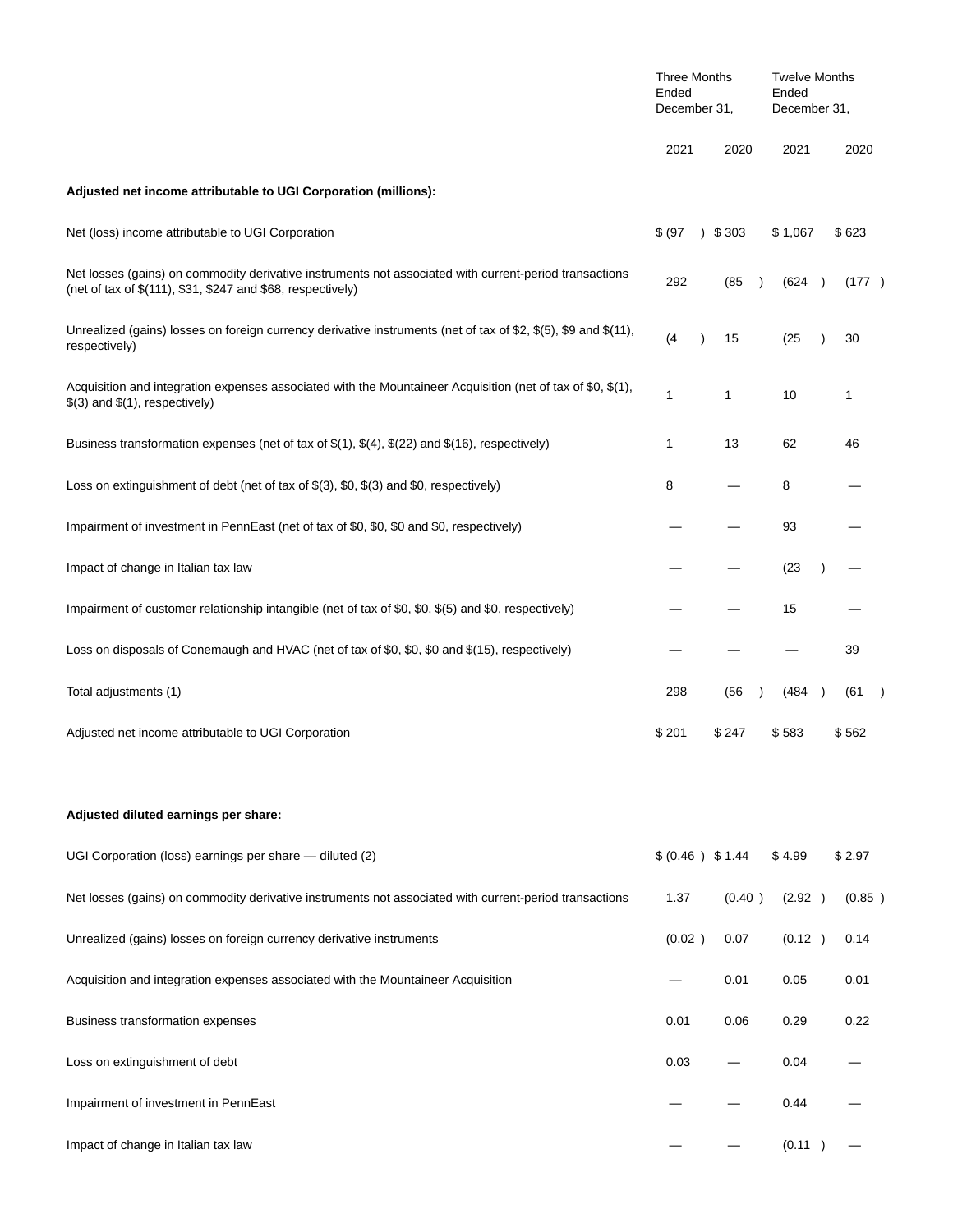|                                                                                                                                                                       | <b>Three Months</b><br>Ended<br>December 31, |                   | <b>Twelve Months</b><br>Ended<br>December 31, |        |  |  |  |
|-----------------------------------------------------------------------------------------------------------------------------------------------------------------------|----------------------------------------------|-------------------|-----------------------------------------------|--------|--|--|--|
|                                                                                                                                                                       | 2021                                         | 2020              | 2021                                          | 2020   |  |  |  |
| Adjusted net income attributable to UGI Corporation (millions):                                                                                                       |                                              |                   |                                               |        |  |  |  |
| Net (loss) income attributable to UGI Corporation                                                                                                                     | \$ (97)<br>$\lambda$                         | \$303             | \$1,067                                       | \$623  |  |  |  |
| Net losses (gains) on commodity derivative instruments not associated with current-period transactions<br>(net of tax of \$(111), \$31, \$247 and \$68, respectively) | 292                                          | (85<br>$\lambda$  | (624)                                         | (177)  |  |  |  |
| Unrealized (gains) losses on foreign currency derivative instruments (net of tax of \$2, \$(5), \$9 and \$(11),<br>respectively)                                      | (4)                                          | 15                | (25)                                          | 30     |  |  |  |
| Acquisition and integration expenses associated with the Mountaineer Acquisition (net of tax of \$0, $(1)$ ,<br>$$(3)$ and $$(1)$ , respectively)                     | 1                                            | 1                 | 10                                            | 1      |  |  |  |
| Business transformation expenses (net of tax of $\$(1), \$(4), \$(22)$ and $\$(16),$ respectively)                                                                    | 1                                            | 13                | 62                                            | 46     |  |  |  |
| Loss on extinguishment of debt (net of tax of \$(3), \$0, \$(3) and \$0, respectively)                                                                                | 8                                            |                   | 8                                             |        |  |  |  |
| Impairment of investment in PennEast (net of tax of \$0, \$0, \$0 and \$0, respectively)                                                                              |                                              |                   | 93                                            |        |  |  |  |
| Impact of change in Italian tax law                                                                                                                                   |                                              |                   | (23)                                          |        |  |  |  |
| Impairment of customer relationship intangible (net of tax of \$0, \$0, \$(5) and \$0, respectively)                                                                  |                                              |                   | 15                                            |        |  |  |  |
| Loss on disposals of Conemaugh and HVAC (net of tax of \$0, \$0, \$0 and \$(15), respectively)                                                                        |                                              |                   |                                               | 39     |  |  |  |
| Total adjustments (1)                                                                                                                                                 | 298                                          | (56)<br>$\lambda$ | (484<br>$\rightarrow$                         | (61    |  |  |  |
| Adjusted net income attributable to UGI Corporation                                                                                                                   | \$201                                        | \$247             | \$583                                         | \$562  |  |  |  |
| Adjusted diluted earnings per share:                                                                                                                                  |                                              |                   |                                               |        |  |  |  |
| UGI Corporation (loss) earnings per share - diluted (2)                                                                                                               | \$ (0.46) \$1.44                             |                   | \$4.99                                        | \$2.97 |  |  |  |
| Net losses (gains) on commodity derivative instruments not associated with current-period transactions                                                                | 1.37                                         | (0.40)            | (2.92)                                        | (0.85) |  |  |  |
| Unrealized (gains) losses on foreign currency derivative instruments                                                                                                  | (0.02)                                       | 0.07              | (0.12)                                        | 0.14   |  |  |  |
| Acquisition and integration expenses associated with the Mountaineer Acquisition                                                                                      |                                              | 0.01              | 0.05                                          | 0.01   |  |  |  |
| Business transformation expenses                                                                                                                                      | 0.01                                         | 0.06              | 0.29                                          | 0.22   |  |  |  |
| Loss on extinguishment of debt                                                                                                                                        | 0.03                                         |                   | 0.04                                          |        |  |  |  |
| Impairment of investment in PennEast                                                                                                                                  |                                              |                   | 0.44                                          |        |  |  |  |
| Impact of change in Italian tax law                                                                                                                                   |                                              |                   | (0.11)                                        |        |  |  |  |